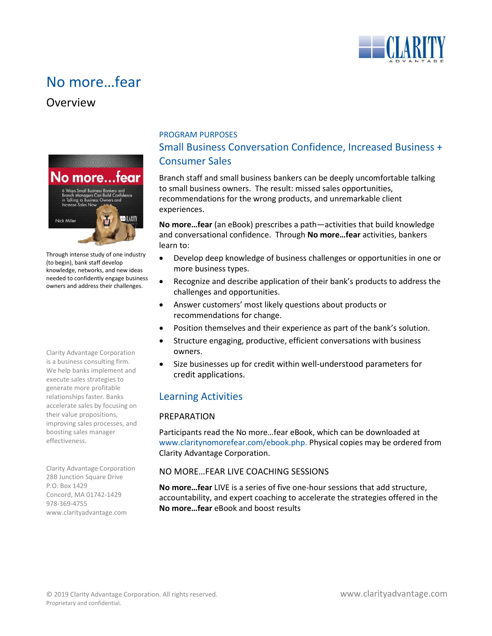

# No more…fear

# Overview



Through intense study of one industry (to begin), bank staff develop knowledge, networks, and new ideas needed to confidently engage business owners and address their challenges.

Clarity Advantage Corporation is a business consulting firm. We help banks implement and execute sales strategies to generate more profitable relationships faster. Banks accelerate sales by focusing on their value propositions, improving sales processes, and boosting sales manager effectiveness.

Clarity Advantage Corporation 28B Junction Square Drive P.O. Box 1429 Concord, MA 01742-1429 978-369-4755 www.clarityadvantage.com

# PROGRAM PURPOSES Small Business Conversation Confidence, Increased Business + Consumer Sales

Branch staff and small business bankers can be deeply uncomfortable talking to small business owners. The result: missed sales opportunities, recommendations for the wrong products, and unremarkable client experiences.

**No more…fear** (an eBook) prescribes a path—activities that build knowledge and conversational confidence. Through **No more…fear** activities, bankers learn to:

- Develop deep knowledge of business challenges or opportunities in one or more business types.
- Recognize and describe application of their bank's products to address the challenges and opportunities.
- Answer customers' most likely questions about products or recommendations for change.
- Position themselves and their experience as part of the bank's solution.
- Structure engaging, productive, efficient conversations with business owners.
- Size businesses up for credit within well-understood parameters for credit applications.

# Learning Activities

# PREPARATION

Participants read the No more…fear eBook, which can be downloaded at [www.claritynomorefear.com/ebook.php.](http://www.claritynomorefear.com/ebook.php) Physical copies may be ordered from Clarity Advantage Corporation.

# NO MORE…FEAR LIVE COACHING SESSIONS

**No more…fear** LIVE is a series of five one-hour sessions that add structure, accountability, and expert coaching to accelerate the strategies offered in the **No more…fear** eBook and boost results